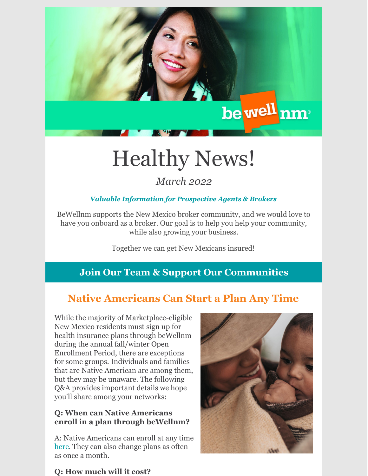

# Healthy News!

# *March 2022*

## *Valuable Information for Prospective Agents & Brokers*

BeWellnm supports the New Mexico broker community, and we would love to have you onboard as a broker. Our goal is to help you help your community, while also growing your business.

Together we can get New Mexicans insured!

## **Join Our Team & Support Our Communities**

# **Native Americans Can Start a Plan Any Time**

While the majority of Marketplace-eligible New Mexico residents must sign up for health insurance plans through beWellnm during the annual fall/winter Open Enrollment Period, there are exceptions for some groups. Individuals and families that are Native American are among them, but they may be unaware. The following Q&A provides important details we hope you'll share among your networks:

#### **Q: When can Native Americans enroll in a plan through beWellnm?**

A: Native Americans can enroll at any time [here](https://www.bewellnm.com/getting-started/new-customers/are-you-native-american/). They can also change plans as often as once a month.



## **Q: How much will it cost?**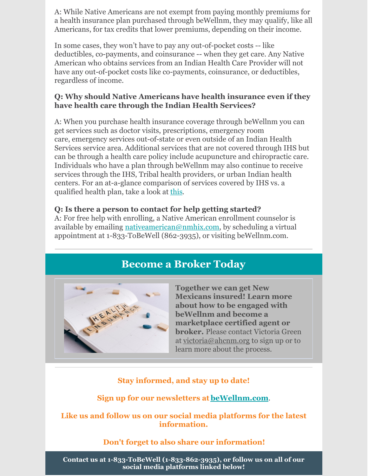A: While Native Americans are not exempt from paying monthly premiums for a health insurance plan purchased through beWellnm, they may qualify, like all Americans, for tax credits that lower premiums, depending on their income.

In some cases, they won't have to pay any out-of-pocket costs -- like deductibles, co-payments, and coinsurance -- when they get care. Any Native American who obtains services from an Indian Health Care Provider will not have any out-of-pocket costs like co-payments, coinsurance, or deductibles, regardless of income.

#### **Q: Why should Native Americans have health insurance even if they have health care through the Indian Health Services?**

A: When you purchase health insurance coverage through beWellnm you can get services such as doctor visits, prescriptions, emergency room care, emergency services out-of-state or even outside of an Indian Health Services service area. Additional services that are not covered through IHS but can be through a health care policy include acupuncture and chiropractic care. Individuals who have a plan through beWellnm may also continue to receive services through the IHS, Tribal health providers, or urban Indian health centers. For an at-a-glance comparison of services covered by IHS vs. a qualified health plan, take a look at [this](https://www.bewellnm.com/wp-content/uploads/2021/10/Health-Benefits-for-NA-compliments-IHS.pdf).

#### **Q: Is there a person to contact for help getting started?**

A: For free help with enrolling, a Native American enrollment counselor is available by emailing [nativeamerican@nmhix.com](mailto:nativeamerican@nmhix.com), by scheduling a virtual appointment at 1-833-ToBeWell (862-3935), or visiting beWellnm.com.

## **Become a Broker Today**



**Together we can get New Mexicans insured! Learn more about how to be engaged with beWellnm and become a marketplace certified agent or broker.** Please contact Victoria Green at [victoria@ahcnm.org](mailto:victoria@ahcnm.org) to sign up or to learn more about the process.

## **Stay informed, and stay up to date!**

**Sign up for our newsletters at [beWellnm.com](https://www.bewellnm.com/bewellnm_newsletters)**.

#### **Like us and follow us on our social media platforms for the latest information.**

#### **Don't forget to also share our information!**

**Contact us at 1-833-ToBeWell (1-833-862-3935), or follow us on all of our social media platforms linked below!**